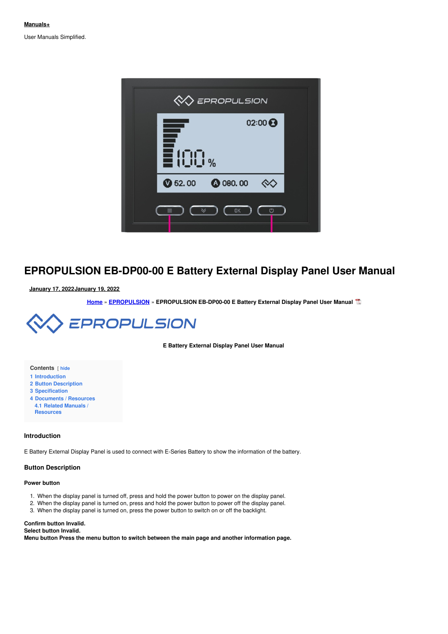User Manuals Simplified.



# **EPROPULSION EB-DP00-00 E Battery External Display Panel User Manual**

**January 17, [2022January](#page-1-0) 19, 2022**

**[Home](https://manuals.plus/)** » **[EPROPULSION](https://manuals.plus/category/epropulsion)** » **EPROPULSION EB-DP00-00 E Battery External Display Panel User Manual**



**E Battery External Display Panel User Manual**

#### **Contents** [ **hide**

- **1 [Introduction](#page-0-0)**
- **2 Button [Description](#page-0-1)**
- **3 [Specification](#page-2-0)**
- **4 [Documents](#page-3-0) / Resources 4.1 Related Manuals / [Resources](#page-3-1)**

## <span id="page-0-0"></span>**Introduction**

E Battery External Display Panel is used to connect with E-Series Battery to show the information of the battery.

#### <span id="page-0-1"></span>**Button Description**

#### **Power button**

- 1. When the display panel is turned off, press and hold the power button to power on the display panel.
- 2. When the display panel is turned on, press and hold the power button to power off the display panel.
- 3. When the display panel is turned on, press the power button to switch on or off the backlight.

#### **Confirm button Invalid.**

**Select button Invalid.**

**Menu button Press the menu button to switch between the main page and another information page.**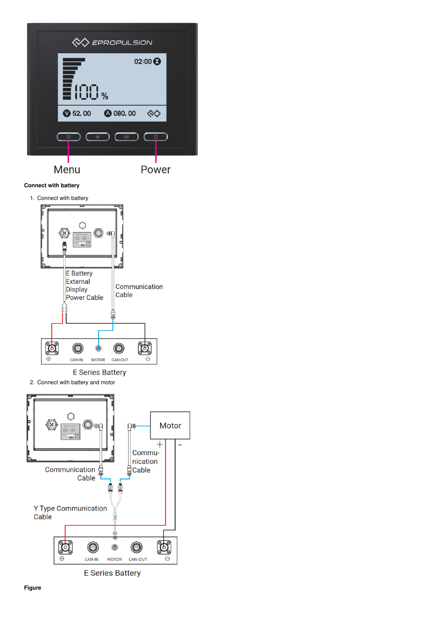<span id="page-1-0"></span>

Power

# **Connect with battery**



**E Series Battery** 

2. Connect with battery and motor



**E Series Battery**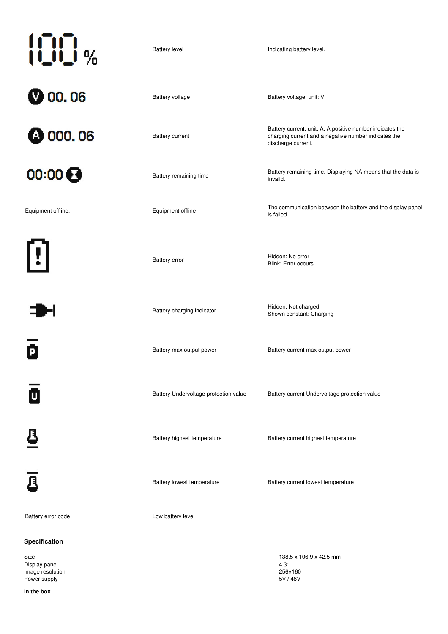| 100 %                       | <b>Battery level</b>                  | Indicating battery level.                                                                                                               |
|-----------------------------|---------------------------------------|-----------------------------------------------------------------------------------------------------------------------------------------|
| <b>@</b> 00.06              | Battery voltage                       | Battery voltage, unit: V                                                                                                                |
| <b>@</b> 000.06             | <b>Battery current</b>                | Battery current, unit: A. A positive number indicates the<br>charging current and a negative number indicates the<br>discharge current. |
| $00:00$ $\odot$             | Battery remaining time                | Battery remaining time. Displaying NA means that the data is<br>invalid.                                                                |
| Equipment offline.          | Equipment offline                     | The communication between the battery and the display panel<br>is failed.                                                               |
| $\left( \mathbf{I} \right)$ | <b>Battery error</b>                  | Hidden: No error<br>Blink: Error occurs                                                                                                 |
|                             | Battery charging indicator            | Hidden: Not charged<br>Shown constant: Charging                                                                                         |
| P                           | Battery max output power              | Battery current max output power                                                                                                        |
| O                           | Battery Undervoltage protection value | Battery current Undervoltage protection value                                                                                           |
| 8                           | Battery highest temperature           | Battery current highest temperature                                                                                                     |
| $\overline{\mathbf{a}}$     | Battery lowest temperature            | Battery current lowest temperature                                                                                                      |
| Battery error code          | Low battery level                     |                                                                                                                                         |
| Specification               |                                       |                                                                                                                                         |
| Size<br>Display panel       |                                       | 138.5 x 106.9 x 42.5 mm<br>4.3''                                                                                                        |

<span id="page-2-0"></span>Image resolution 256×160 Power supply<br>
Power supply<br>
Power supply<br>
SV / 48V<br>
SV / 48V

**In the box**